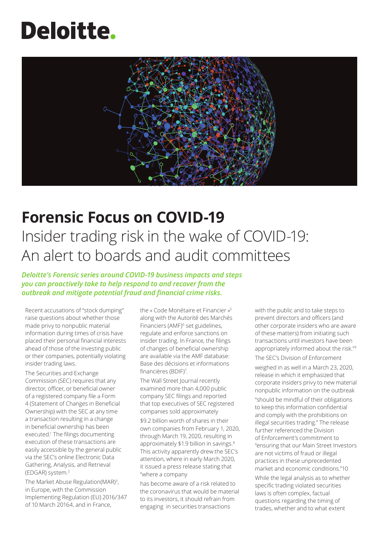# **Deloitte.**



### **Forensic Focus on COVID-19**

## Insider trading risk in the wake of COVID-19: An alert to boards and audit committees

*Deloitte's Forensic series around COVID-19 business impacts and steps you can proactively take to help respond to and recover from the outbreak and mitigate potential fraud and financial crime risks.* 

Recent accusations of "stock dumping" raise questions about whether those made privy to nonpublic material information during times of crisis have placed their personal financial interests ahead of those of the investing public or their companies, potentially violating insider trading laws.

The Securities and Exchange Commission (SEC) requires that any director, officer, or beneficial owner of a registered company file a Form 4 (Statement of Changes in Beneficial Ownership) with the SEC at any time a transaction resulting in a change in beneficial ownership has been executed.1 The filings documenting execution of these transactions are easily accessible by the general public via the SEC's online Electronic Data Gathering, Analysis, and Retrieval (EDGAR) system.2

The Market Abuse Regulation(MAR)<sup>3</sup>, in Europe, with the Commission Implementing Regulation (EU) 2016/347 of 10 March 20164, and in France,

the « Code Monétaire et Financier »<sup>5</sup> along with the Autorité des Marchés Financiers (AMF)<sup>6</sup> set guidelines, regulate and enforce sanctions on insider trading. In France, the filings of changes of beneficial ownership are available via the AMF database: Base des décisions et informations financières (BDIF)<sup>7</sup> .

The Wall Street Journal recently examined more than 4,000 public company SEC filings and reported that top executives of SEC registered companies sold approximately

\$9.2 billion worth of shares in their own companies from February 1, 2020, through March 19, 2020, resulting in approximately \$1.9 billion in savings.<sup>8</sup> This activity apparently drew the SEC's attention, where in early March 2020, it issued a press release stating that "where a company

has become aware of a risk related to the coronavirus that would be material to its investors, it should refrain from engaging in securities transactions

with the public and to take steps to prevent directors and officers (and other corporate insiders who are aware of these matters) from initiating such transactions until investors have been appropriately informed about the risk."9 The SEC's Division of Enforcement

weighed in as well in a March 23, 2020, release in which it emphasized that corporate insiders privy to new material nonpublic information on the outbreak

"should be mindful of their obligations to keep this information confidential and comply with the prohibitions on illegal securities trading." The release further referenced the Division of Enforcement's commitment to "ensuring that our Main Street Investors are not victims of fraud or illegal practices in these unprecedented market and economic conditions."10

While the legal analysis as to whether specific trading violated securities laws is often complex, factual questions regarding the timing of trades, whether and to what extent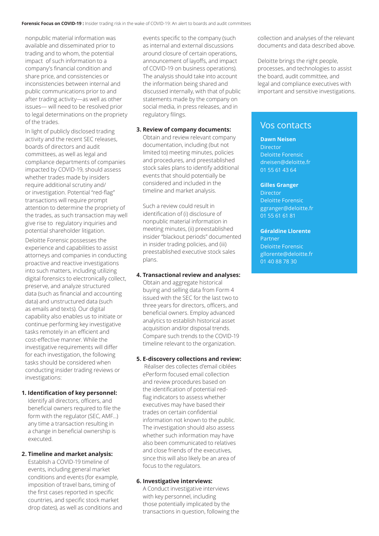nonpublic material information was available and disseminated prior to trading and to whom, the potential impact of such information to a company's financial condition and share price, and consistencies or inconsistencies between internal and public communications prior to and after trading activity—as well as other issues— will need to be resolved prior to legal determinations on the propriety of the trades.

In light of publicly disclosed trading activity and the recent SEC releases, boards of directors and audit committees, as well as legal and compliance departments of companies impacted by COVID-19, should assess whether trades made by insiders require additional scrutiny and/ or investigation. Potential "red-flag" transactions will require prompt attention to determine the propriety of the trades, as such transaction may well give rise to regulatory inquiries and potential shareholder litigation.

Deloitte Forensic possesses the experience and capabilities to assist attorneys and companies in conducting proactive and reactive investigations into such matters, including utilizing digital forensics to electronically collect, preserve, and analyze structured data (such as financial and accounting data) and unstructured data (such as emails and texts). Our digital capability also enables us to initiate or continue performing key investigative tasks remotely in an efficient and cost-effective manner. While the investigative requirements will differ for each investigation, the following tasks should be considered when conducting insider trading reviews or investigations:

#### **1. Identification of key personnel:**

Identify all directors, officers, and beneficial owners required to file the form with the regulator (SEC, AMF…) any time a transaction resulting in a change in beneficial ownership is executed.

#### **2. Timeline and market analysis:**

Establish a COVID-19 timeline of events, including general market conditions and events (for example, imposition of travel bans, timing of the first cases reported in specific countries, and specific stock market drop dates), as well as conditions and events specific to the company (such as internal and external discussions around closure of certain operations, announcement of layoffs, and impact of COVID-19 on business operations). The analysis should take into account the information being shared and discussed internally, with that of public statements made by the company on social media, in press releases, and in regulatory filings.

#### **3. Review of company documents:**

Obtain and review relevant company documentation, including (but not limited to) meeting minutes, policies and procedures, and preestablished stock sales plans to identify additional events that should potentially be considered and included in the timeline and market analysis.

Such a review could result in identification of (i) disclosure of nonpublic material information in meeting minutes, (ii) preestablished insider "blackout periods" documented in insider trading policies, and (iii) preestablished executive stock sales plans.

#### **4. Transactional review and analyses:**

Obtain and aggregate historical buying and selling data from Form 4 issued with the SEC for the last two to three years for directors, officers, and beneficial owners. Employ advanced analytics to establish historical asset acquisition and/or disposal trends. Compare such trends to the COVID-19 timeline relevant to the organization.

#### **5. E-discovery collections and review:**

Réaliser des collectes d'email ciblées ePerform focused email collection and review procedures based on the identification of potential redflag indicators to assess whether executives may have based their trades on certain confidential information not known to the public. The investigation should also assess whether such information may have also been communicated to relatives and close friends of the executives, since this will also likely be an area of focus to the regulators.

#### **6. Investigative interviews:**

A Conduct investigative interviews with key personnel, including those potentially implicated by the transactions in question, following the collection and analyses of the relevant documents and data described above.

Deloitte brings the right people, processes, and technologies to assist the board, audit committee, and legal and compliance executives with important and sensitive investigations.

### Vos contacts

#### **Dawn Neisen**

Director Deloitte Forensic dneisen@deloitte.fr 01 55 61 43 64

#### **Gilles Granger**

Director Deloitte Forensic ggranger@deloitte.fr 01 55 61 61 81

#### **Géraldine Llorente**

Partner Deloitte Forensic gllorente@deloitte.fr 01 40 88 78 30